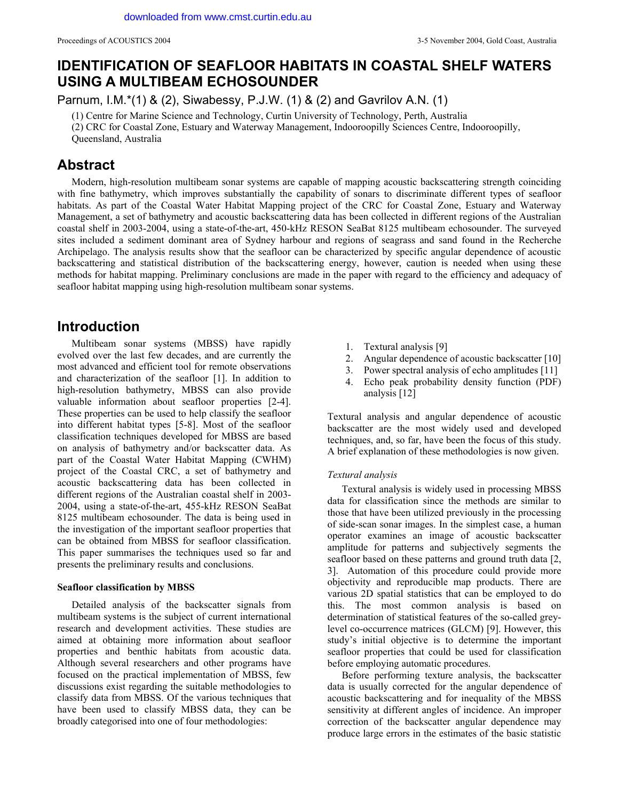# **IDENTIFICATION OF SEAFLOOR HABITATS IN COASTAL SHELF WATERS USING A MULTIBEAM ECHOSOUNDER**

Parnum, I.M.\*(1) & (2), Siwabessy, P.J.W. (1) & (2) and Gavrilov A.N. (1)

(1) Centre for Marine Science and Technology, Curtin University of Technology, Perth, Australia

(2) CRC for Coastal Zone, Estuary and Waterway Management, Indooroopilly Sciences Centre, Indooroopilly,

Queensland, Australia

# **Abstract**

Modern, high-resolution multibeam sonar systems are capable of mapping acoustic backscattering strength coinciding with fine bathymetry, which improves substantially the capability of sonars to discriminate different types of seafloor habitats. As part of the Coastal Water Habitat Mapping project of the CRC for Coastal Zone, Estuary and Waterway Management, a set of bathymetry and acoustic backscattering data has been collected in different regions of the Australian coastal shelf in 2003-2004, using a state-of-the-art, 450-kHz RESON SeaBat 8125 multibeam echosounder. The surveyed sites included a sediment dominant area of Sydney harbour and regions of seagrass and sand found in the Recherche Archipelago. The analysis results show that the seafloor can be characterized by specific angular dependence of acoustic backscattering and statistical distribution of the backscattering energy, however, caution is needed when using these methods for habitat mapping. Preliminary conclusions are made in the paper with regard to the efficiency and adequacy of seafloor habitat mapping using high-resolution multibeam sonar systems.

# **Introduction**

Multibeam sonar systems (MBSS) have rapidly evolved over the last few decades, and are currently the most advanced and efficient tool for remote observations and characterization of the seafloor [1]. In addition to high-resolution bathymetry, MBSS can also provide valuable information about seafloor properties [2-4]. These properties can be used to help classify the seafloor into different habitat types [5-8]. Most of the seafloor classification techniques developed for MBSS are based on analysis of bathymetry and/or backscatter data. As part of the Coastal Water Habitat Mapping (CWHM) project of the Coastal CRC, a set of bathymetry and acoustic backscattering data has been collected in different regions of the Australian coastal shelf in 2003- 2004, using a state-of-the-art, 455-kHz RESON SeaBat 8125 multibeam echosounder. The data is being used in the investigation of the important seafloor properties that can be obtained from MBSS for seafloor classification. This paper summarises the techniques used so far and presents the preliminary results and conclusions.

### **Seafloor classification by MBSS**

Detailed analysis of the backscatter signals from multibeam systems is the subject of current international research and development activities. These studies are aimed at obtaining more information about seafloor properties and benthic habitats from acoustic data. Although several researchers and other programs have focused on the practical implementation of MBSS, few discussions exist regarding the suitable methodologies to classify data from MBSS. Of the various techniques that have been used to classify MBSS data, they can be broadly categorised into one of four methodologies:

- 1. Textural analysis [9]
- 2. Angular dependence of acoustic backscatter [10]
- 3. Power spectral analysis of echo amplitudes [11]
- 4. Echo peak probability density function (PDF) analysis [12]

Textural analysis and angular dependence of acoustic backscatter are the most widely used and developed techniques, and, so far, have been the focus of this study. A brief explanation of these methodologies is now given.

#### *Textural analysis*

Textural analysis is widely used in processing MBSS data for classification since the methods are similar to those that have been utilized previously in the processing of side-scan sonar images. In the simplest case, a human operator examines an image of acoustic backscatter amplitude for patterns and subjectively segments the seafloor based on these patterns and ground truth data [2, 3]. Automation of this procedure could provide more objectivity and reproducible map products. There are various 2D spatial statistics that can be employed to do this. The most common analysis is based on determination of statistical features of the so-called greylevel co-occurrence matrices (GLCM) [9]. However, this study's initial objective is to determine the important seafloor properties that could be used for classification before employing automatic procedures.

Before performing texture analysis, the backscatter data is usually corrected for the angular dependence of acoustic backscattering and for inequality of the MBSS sensitivity at different angles of incidence. An improper correction of the backscatter angular dependence may produce large errors in the estimates of the basic statistic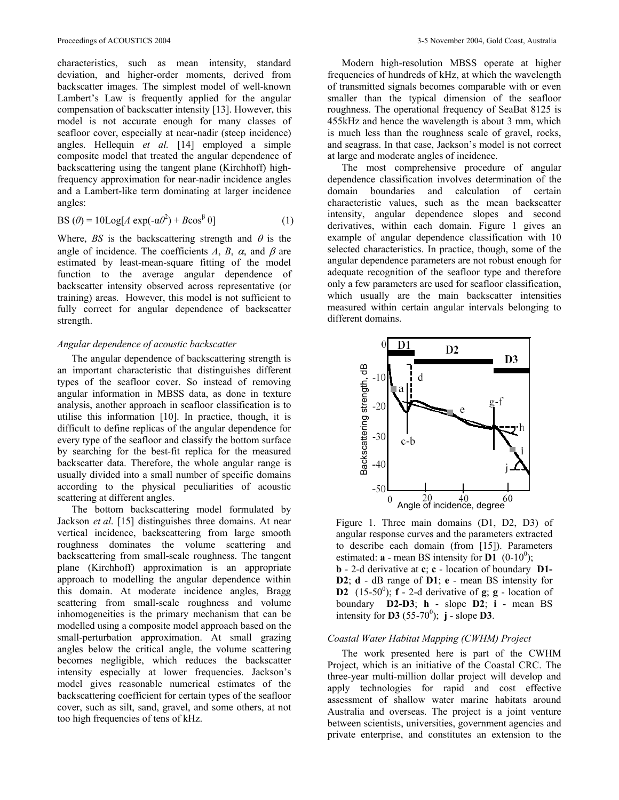characteristics, such as mean intensity, standard deviation, and higher-order moments, derived from backscatter images. The simplest model of well-known Lambert's Law is frequently applied for the angular compensation of backscatter intensity [13]. However, this model is not accurate enough for many classes of seafloor cover, especially at near-nadir (steep incidence) angles. Hellequin *et al.* [14] employed a simple composite model that treated the angular dependence of backscattering using the tangent plane (Kirchhoff) highfrequency approximation for near-nadir incidence angles and a Lambert-like term dominating at larger incidence angles:

$$
BS(\theta) = 10\text{Log}[A \exp(-\alpha\theta^2) + B\cos^{\beta}\theta]
$$
 (1)

Where,  $BS$  is the backscattering strength and  $\theta$  is the angle of incidence. The coefficients *A*, *B*,  $\alpha$ , and  $\beta$  are estimated by least-mean-square fitting of the model function to the average angular dependence of backscatter intensity observed across representative (or training) areas. However, this model is not sufficient to fully correct for angular dependence of backscatter strength.

#### *Angular dependence of acoustic backscatter*

The angular dependence of backscattering strength is an important characteristic that distinguishes different types of the seafloor cover. So instead of removing angular information in MBSS data, as done in texture analysis, another approach in seafloor classification is to utilise this information [10]. In practice, though, it is difficult to define replicas of the angular dependence for every type of the seafloor and classify the bottom surface by searching for the best-fit replica for the measured backscatter data. Therefore, the whole angular range is usually divided into a small number of specific domains according to the physical peculiarities of acoustic scattering at different angles.

The bottom backscattering model formulated by Jackson *et al*. [15] distinguishes three domains. At near vertical incidence, backscattering from large smooth roughness dominates the volume scattering and backscattering from small-scale roughness. The tangent plane (Kirchhoff) approximation is an appropriate approach to modelling the angular dependence within this domain. At moderate incidence angles, Bragg scattering from small-scale roughness and volume inhomogeneities is the primary mechanism that can be modelled using a composite model approach based on the small-perturbation approximation. At small grazing angles below the critical angle, the volume scattering becomes negligible, which reduces the backscatter intensity especially at lower frequencies. Jackson's model gives reasonable numerical estimates of the backscattering coefficient for certain types of the seafloor cover, such as silt, sand, gravel, and some others, at not too high frequencies of tens of kHz.

Modern high-resolution MBSS operate at higher frequencies of hundreds of kHz, at which the wavelength of transmitted signals becomes comparable with or even smaller than the typical dimension of the seafloor roughness. The operational frequency of SeaBat 8125 is 455kHz and hence the wavelength is about 3 mm, which is much less than the roughness scale of gravel, rocks, and seagrass. In that case, Jackson's model is not correct at large and moderate angles of incidence.

The most comprehensive procedure of angular dependence classification involves determination of the domain boundaries and calculation of certain characteristic values, such as the mean backscatter intensity, angular dependence slopes and second derivatives, within each domain. Figure 1 gives an example of angular dependence classification with 10 selected characteristics. In practice, though, some of the angular dependence parameters are not robust enough for adequate recognition of the seafloor type and therefore only a few parameters are used for seafloor classification, which usually are the main backscatter intensities measured within certain angular intervals belonging to different domains.



Figure 1. Three main domains (D1, D2, D3) of angular response curves and the parameters extracted to describe each domain (from [15]). Parameters estimated:  $\mathbf{a}$  - mean BS intensity for  $\mathbf{D1}^{(0)}$  (0-10<sup>0</sup>); **b** - 2-d derivative at **c**; **c** - location of boundary **D1- D2**; **d** - dB range of **D1**; **e** - mean BS intensity for **D2**  $(15-50^{\circ})$ ; **f**  $\overline{\phantom{a}}$  - 2-d derivative of **g**; **g** - location of boundary **D2-D3**; **h** - slope **D2**; **i** - mean BS intensity for **D3** (55-70<sup>0</sup>); **j** - slope **D3**.

### *Coastal Water Habitat Mapping (CWHM) Project*

The work presented here is part of the CWHM Project, which is an initiative of the Coastal CRC. The three-year multi-million dollar project will develop and apply technologies for rapid and cost effective assessment of shallow water marine habitats around Australia and overseas. The project is a joint venture between scientists, universities, government agencies and private enterprise, and constitutes an extension to the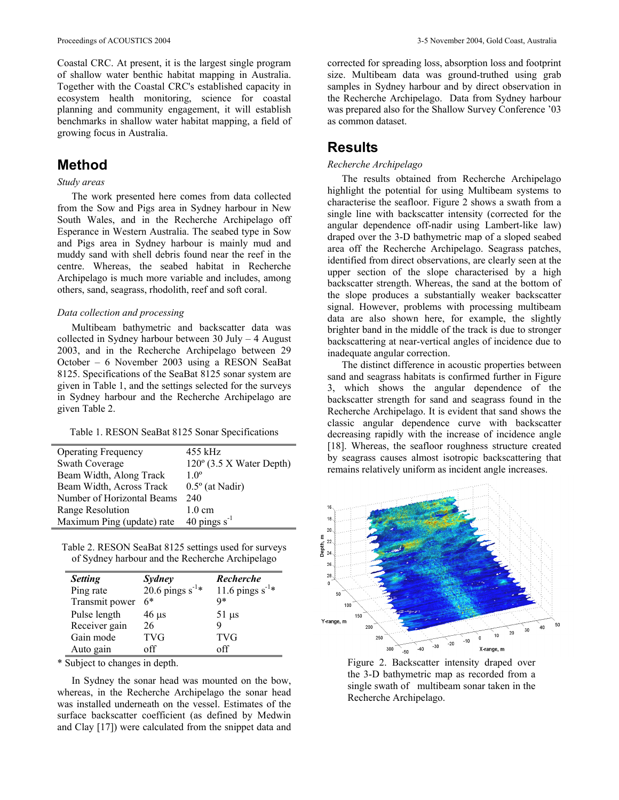Coastal CRC. At present, it is the largest single program of shallow water benthic habitat mapping in Australia. Together with the Coastal CRC's established capacity in ecosystem health monitoring, science for coastal planning and community engagement, it will establish benchmarks in shallow water habitat mapping, a field of growing focus in Australia.

# **Method**

## *Study areas*

The work presented here comes from data collected from the Sow and Pigs area in Sydney harbour in New South Wales, and in the Recherche Archipelago off Esperance in Western Australia. The seabed type in Sow and Pigs area in Sydney harbour is mainly mud and muddy sand with shell debris found near the reef in the centre. Whereas, the seabed habitat in Recherche Archipelago is much more variable and includes, among others, sand, seagrass, rhodolith, reef and soft coral.

### *Data collection and processing*

Multibeam bathymetric and backscatter data was collected in Sydney harbour between 30 July – 4 August 2003, and in the Recherche Archipelago between 29 October – 6 November 2003 using a RESON SeaBat 8125. Specifications of the SeaBat 8125 sonar system are given in Table 1, and the settings selected for the surveys in Sydney harbour and the Recherche Archipelago are given Table 2.

| <b>Operating Frequency</b> | 455 kHz                           |
|----------------------------|-----------------------------------|
| <b>Swath Coverage</b>      | $120^{\circ}$ (3.5 X Water Depth) |
| Beam Width, Along Track    | 10 <sup>o</sup>                   |
| Beam Width, Across Track   | $0.5^{\circ}$ (at Nadir)          |
| Number of Horizontal Beams | 240                               |
| Range Resolution           | $1.0 \text{ cm}$                  |
| Maximum Ping (update) rate | 40 pings $s^{-1}$                 |

Table 2. RESON SeaBat 8125 settings used for surveys of Sydney harbour and the Recherche Archipelago

| <b>Setting</b> | <b>Sydney</b>        | Recherche                |
|----------------|----------------------|--------------------------|
| Ping rate      | 20.6 pings $s^{-1*}$ | 11.6 pings $s^{-1*}$     |
| Transmit power | 6*                   | Q*                       |
| Pulse length   | $46 \mu s$           | $51 \text{ }\mu\text{s}$ |
| Receiver gain  | 26                   |                          |
| Gain mode      | <b>TVG</b>           | <b>TVG</b>               |
| Auto gain      | off                  | off                      |

\* Subject to changes in depth.

In Sydney the sonar head was mounted on the bow, whereas, in the Recherche Archipelago the sonar head was installed underneath on the vessel. Estimates of the surface backscatter coefficient (as defined by Medwin and Clay [17]) were calculated from the snippet data and

corrected for spreading loss, absorption loss and footprint size. Multibeam data was ground-truthed using grab samples in Sydney harbour and by direct observation in the Recherche Archipelago. Data from Sydney harbour was prepared also for the Shallow Survey Conference '03 as common dataset.

## **Results**

## *Recherche Archipelago*

The results obtained from Recherche Archipelago highlight the potential for using Multibeam systems to characterise the seafloor. Figure 2 shows a swath from a single line with backscatter intensity (corrected for the angular dependence off-nadir using Lambert-like law) draped over the 3-D bathymetric map of a sloped seabed area off the Recherche Archipelago. Seagrass patches, identified from direct observations, are clearly seen at the upper section of the slope characterised by a high backscatter strength. Whereas, the sand at the bottom of the slope produces a substantially weaker backscatter signal. However, problems with processing multibeam data are also shown here, for example, the slightly brighter band in the middle of the track is due to stronger backscattering at near-vertical angles of incidence due to inadequate angular correction.

The distinct difference in acoustic properties between sand and seagrass habitats is confirmed further in Figure 3, which shows the angular dependence of the backscatter strength for sand and seagrass found in the Recherche Archipelago. It is evident that sand shows the classic angular dependence curve with backscatter decreasing rapidly with the increase of incidence angle [18]. Whereas, the seafloor roughness structure created by seagrass causes almost isotropic backscattering that remains relatively uniform as incident angle increases.



Figure 2. Backscatter intensity draped over the 3-D bathymetric map as recorded from a single swath of multibeam sonar taken in the Recherche Archipelago.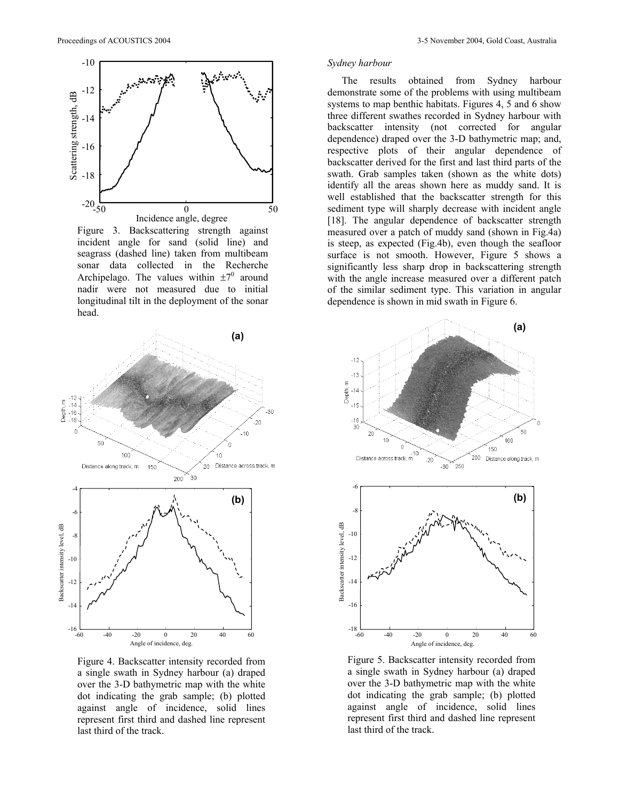

Figure 3. Backscattering strength against incident angle for sand (solid line) and seagrass (dashed line) taken from multibeam sonar data collected in the Recherche Archipelago. The values within  $\pm 7^0$  around nadir were not measured due to initial longitudinal tilt in the deployment of the sonar head.



Figure 4. Backscatter intensity recorded from a single swath in Sydney harbour (a) draped over the 3-D bathymetric map with the white dot indicating the grab sample; (b) plotted against angle of incidence, solid lines represent first third and dashed line represent last third of the track.

## *Sydney harbour*

The results obtained from Sydney harbour demonstrate some of the problems with using multibeam systems to map benthic habitats. Figures 4, 5 and 6 show three different swathes recorded in Sydney harbour with backscatter intensity (not corrected for angular dependence) draped over the 3-D bathymetric map; and, respective plots of their angular dependence of backscatter derived for the first and last third parts of the swath. Grab samples taken (shown as the white dots) identify all the areas shown here as muddy sand. It is well established that the backscatter strength for this sediment type will sharply decrease with incident angle [18]. The angular dependence of backscatter strength measured over a patch of muddy sand (shown in Fig.4a) is steep, as expected (Fig.4b), even though the seafloor surface is not smooth. However, Figure 5 shows a significantly less sharp drop in backscattering strength with the angle increase measured over a different patch of the similar sediment type. This variation in angular dependence is shown in mid swath in Figure 6.



Figure 5. Backscatter intensity recorded from a single swath in Sydney harbour (a) draped over the 3-D bathymetric map with the white dot indicating the grab sample; (b) plotted against angle of incidence, solid lines represent first third and dashed line represent last third of the track.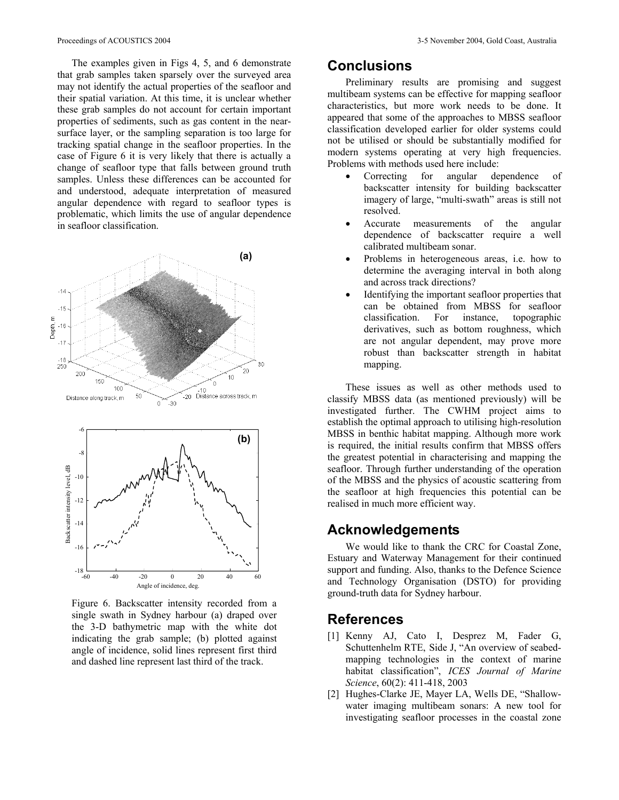The examples given in Figs 4, 5, and 6 demonstrate that grab samples taken sparsely over the surveyed area may not identify the actual properties of the seafloor and their spatial variation. At this time, it is unclear whether these grab samples do not account for certain important properties of sediments, such as gas content in the nearsurface layer, or the sampling separation is too large for tracking spatial change in the seafloor properties. In the case of Figure 6 it is very likely that there is actually a change of seafloor type that falls between ground truth samples. Unless these differences can be accounted for and understood, adequate interpretation of measured angular dependence with regard to seafloor types is problematic, which limits the use of angular dependence in seafloor classification.



Figure 6. Backscatter intensity recorded from a single swath in Sydney harbour (a) draped over the 3-D bathymetric map with the white dot indicating the grab sample; (b) plotted against angle of incidence, solid lines represent first third and dashed line represent last third of the track.

## **Conclusions**

Preliminary results are promising and suggest multibeam systems can be effective for mapping seafloor characteristics, but more work needs to be done. It appeared that some of the approaches to MBSS seafloor classification developed earlier for older systems could not be utilised or should be substantially modified for modern systems operating at very high frequencies. Problems with methods used here include:

- Correcting for angular dependence of backscatter intensity for building backscatter imagery of large, "multi-swath" areas is still not resolved.
- Accurate measurements of the angular dependence of backscatter require a well calibrated multibeam sonar.
- Problems in heterogeneous areas, i.e. how to determine the averaging interval in both along and across track directions?
- Identifying the important seafloor properties that can be obtained from MBSS for seafloor classification. For instance, topographic derivatives, such as bottom roughness, which are not angular dependent, may prove more robust than backscatter strength in habitat mapping.

These issues as well as other methods used to classify MBSS data (as mentioned previously) will be investigated further. The CWHM project aims to establish the optimal approach to utilising high-resolution MBSS in benthic habitat mapping. Although more work is required, the initial results confirm that MBSS offers the greatest potential in characterising and mapping the seafloor. Through further understanding of the operation of the MBSS and the physics of acoustic scattering from the seafloor at high frequencies this potential can be realised in much more efficient way.

# **Acknowledgements**

We would like to thank the CRC for Coastal Zone, Estuary and Waterway Management for their continued support and funding. Also, thanks to the Defence Science and Technology Organisation (DSTO) for providing ground-truth data for Sydney harbour.

## **References**

- [1] Kenny AJ, Cato I, Desprez M, Fader G, Schuttenhelm RTE, Side J, "An overview of seabedmapping technologies in the context of marine habitat classification", *ICES Journal of Marine Science*, 60(2): 411-418, 2003
- [2] Hughes-Clarke JE, Mayer LA, Wells DE, "Shallowwater imaging multibeam sonars: A new tool for investigating seafloor processes in the coastal zone